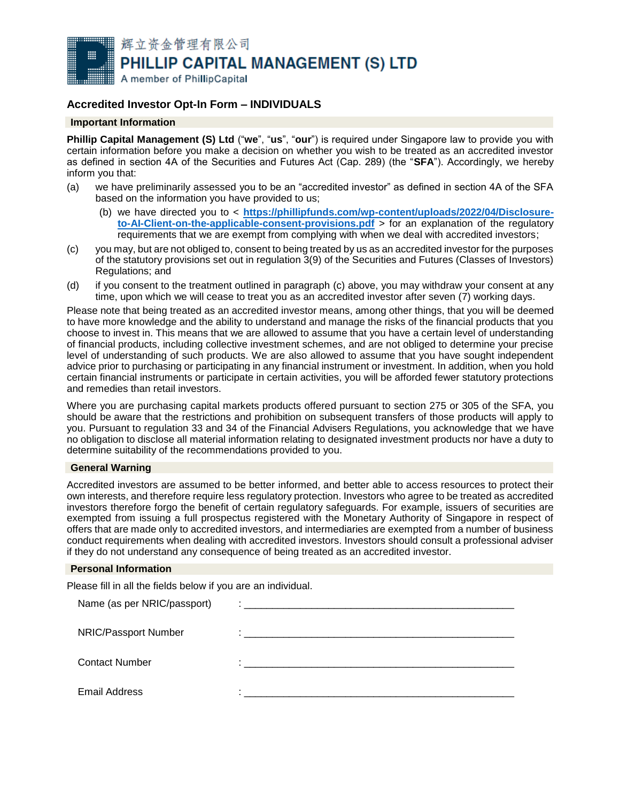

# **Accredited Investor Opt-In Form – INDIVIDUALS**

## **Important Information**

**Phillip Capital Management (S) Ltd** ("**we**", "**us**", "**our**") is required under Singapore law to provide you with certain information before you make a decision on whether you wish to be treated as an accredited investor as defined in section 4A of the Securities and Futures Act (Cap. 289) (the "**SFA**"). Accordingly, we hereby inform you that:

- (a) we have preliminarily assessed you to be an "accredited investor" as defined in section 4A of the SFA based on the information you have provided to us;
	- (b) we have directed you to < **[https://phillipfunds.com/wp-content/uploads/2022/04/Disclosure](https://phillipfunds.com/wp-content/uploads/2022/04/Disclosure-to-AI-Client-on-the-applicable-consent-provisions.pdf)[to-AI-Client-on-the-applicable-consent-provisions.pdf](https://phillipfunds.com/wp-content/uploads/2022/04/Disclosure-to-AI-Client-on-the-applicable-consent-provisions.pdf)** > for an explanation of the regulatory requirements that we are exempt from complying with when we deal with accredited investors;
- <span id="page-0-0"></span>(c) you may, but are not obliged to, consent to being treated by us as an accredited investor for the purposes of the statutory provisions set out in regulation 3(9) of the Securities and Futures (Classes of Investors) Regulations; and
- (d) if you consent to the treatment outlined in paragraph [\(c\)](#page-0-0) above, you may withdraw your consent at any time, upon which we will cease to treat you as an accredited investor after seven (7) working days.

Please note that being treated as an accredited investor means, among other things, that you will be deemed to have more knowledge and the ability to understand and manage the risks of the financial products that you choose to invest in. This means that we are allowed to assume that you have a certain level of understanding of financial products, including collective investment schemes, and are not obliged to determine your precise level of understanding of such products. We are also allowed to assume that you have sought independent advice prior to purchasing or participating in any financial instrument or investment. In addition, when you hold certain financial instruments or participate in certain activities, you will be afforded fewer statutory protections and remedies than retail investors.

Where you are purchasing capital markets products offered pursuant to section 275 or 305 of the SFA, you should be aware that the restrictions and prohibition on subsequent transfers of those products will apply to you. Pursuant to regulation 33 and 34 of the Financial Advisers Regulations, you acknowledge that we have no obligation to disclose all material information relating to designated investment products nor have a duty to determine suitability of the recommendations provided to you.

#### **General Warning**

Accredited investors are assumed to be better informed, and better able to access resources to protect their own interests, and therefore require less regulatory protection. Investors who agree to be treated as accredited investors therefore forgo the benefit of certain regulatory safeguards. For example, issuers of securities are exempted from issuing a full prospectus registered with the Monetary Authority of Singapore in respect of offers that are made only to accredited investors, and intermediaries are exempted from a number of business conduct requirements when dealing with accredited investors. Investors should consult a professional adviser if they do not understand any consequence of being treated as an accredited investor.

## **Personal Information**

Please fill in all the fields below if you are an individual.

| Name (as per NRIC/passport) |                                                         |
|-----------------------------|---------------------------------------------------------|
|                             |                                                         |
| NRIC/Passport Number        | <u> 1980 - Jan Barbara, martxa al II-lea (h. 1980).</u> |
| <b>Contact Number</b>       | ٠                                                       |
|                             |                                                         |
| <b>Email Address</b>        |                                                         |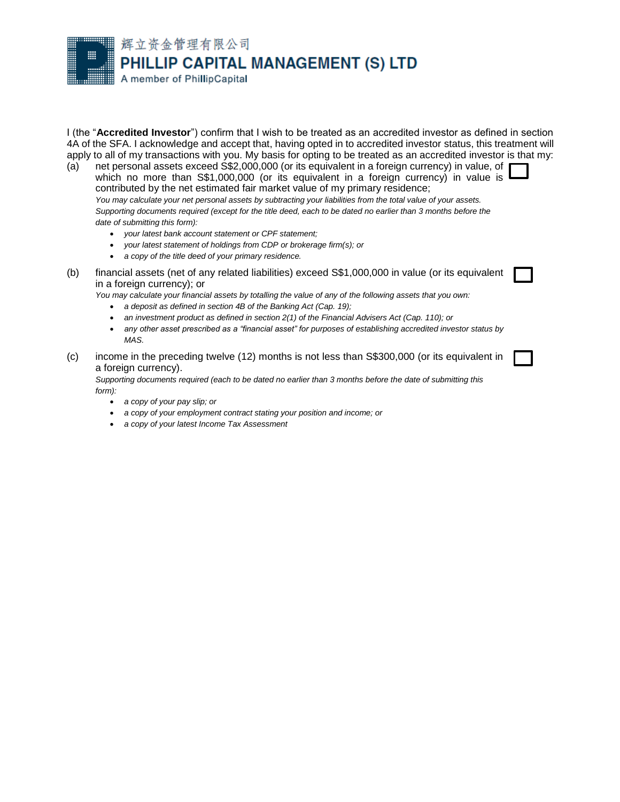辉立资金管理有限公司 PHILLIP CAPITAL MANAGEMENT (S) LTD

A member of PhillipCapital

I (the "**Accredited Investor**") confirm that I wish to be treated as an accredited investor as defined in section 4A of the SFA. I acknowledge and accept that, having opted in to accredited investor status, this treatment will apply to all of my transactions with you. My basis for opting to be treated as an accredited investor is that my:

(a) net personal assets exceed S\$2,000,000 (or its equivalent in a foreign currency) in value, of which no more than S\$1,000,000 (or its equivalent in a foreign currency) in value is contributed by the net estimated fair market value of my primary residence; *You may calculate your net personal assets by subtracting your liabilities from the total value of your assets. Supporting documents required (except for the title deed, each to be dated no earlier than 3 months before the date of submitting this form):*

- *your latest bank account statement or CPF statement;*
- *your latest statement of holdings from CDP or brokerage firm(s); or*
- *a copy of the title deed of your primary residence.*
- (b) financial assets (net of any related liabilities) exceed S\$1,000,000 in value (or its equivalent in a foreign currency); or

*You may calculate your financial assets by totalling the value of any of the following assets that you own:*

- *a deposit as defined in section 4B of the Banking Act (Cap. 19);*
- *an investment product as defined in section 2(1) of the Financial Advisers Act (Cap. 110); or*
- *any other asset prescribed as a "financial asset" for purposes of establishing accredited investor status by MAS.*
- (c) income in the preceding twelve (12) months is not less than S\$300,000 (or its equivalent in a foreign currency).

*Supporting documents required (each to be dated no earlier than 3 months before the date of submitting this form):* 

- *a copy of your pay slip; or*
- *a copy of your employment contract stating your position and income; or*
- *a copy of your latest Income Tax Assessment*